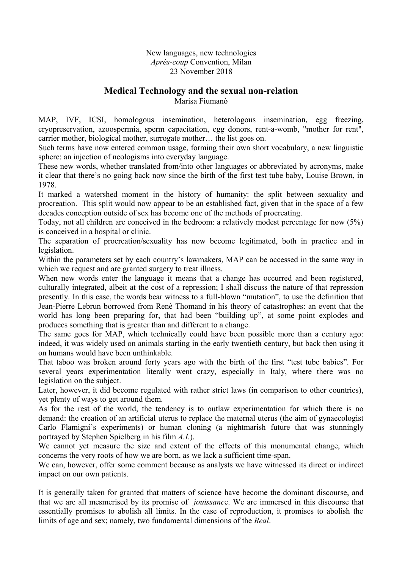New languages, new technologies *Après-coup* Convention, Milan 23 November 2018

## **Medical Technology and the sexual non-relation**

Marisa Fiumanò

MAP, IVF, ICSI, homologous insemination, heterologous insemination, egg freezing, cryopreservation, azoospermia, sperm capacitation, egg donors, rent-a-womb, "mother for rent", carrier mother, biological mother, surrogate mother… the list goes on.

Such terms have now entered common usage, forming their own short vocabulary, a new linguistic sphere: an injection of neologisms into everyday language.

These new words, whether translated from/into other languages or abbreviated by acronyms, make it clear that there's no going back now since the birth of the first test tube baby, Louise Brown, in 1978.

It marked a watershed moment in the history of humanity: the split between sexuality and procreation. This split would now appear to be an established fact, given that in the space of a few decades conception outside of sex has become one of the methods of procreating.

Today, not all children are conceived in the bedroom: a relatively modest percentage for now (5%) is conceived in a hospital or clinic.

The separation of procreation/sexuality has now become legitimated, both in practice and in legislation.

Within the parameters set by each country's lawmakers, MAP can be accessed in the same way in which we request and are granted surgery to treat illness.

When new words enter the language it means that a change has occurred and been registered, culturally integrated, albeit at the cost of a repression; I shall discuss the nature of that repression presently. In this case, the words bear witness to a full-blown "mutation", to use the definition that Jean-Pierre Lebrun borrowed from Renè Thomand in his theory of catastrophes: an event that the world has long been preparing for, that had been "building up", at some point explodes and produces something that is greater than and different to a change.

The same goes for MAP, which technically could have been possible more than a century ago: indeed, it was widely used on animals starting in the early twentieth century, but back then using it on humans would have been unthinkable.

That taboo was broken around forty years ago with the birth of the first "test tube babies". For several years experimentation literally went crazy, especially in Italy, where there was no legislation on the subject.

Later, however, it did become regulated with rather strict laws (in comparison to other countries), yet plenty of ways to get around them.

As for the rest of the world, the tendency is to outlaw experimentation for which there is no demand: the creation of an artificial uterus to replace the maternal uterus (the aim of gynaecologist Carlo Flamigni's experiments) or human cloning (a nightmarish future that was stunningly portrayed by Stephen Spielberg in his film *A.I.*).

We cannot yet measure the size and extent of the effects of this monumental change, which concerns the very roots of how we are born, as we lack a sufficient time-span.

We can, however, offer some comment because as analysts we have witnessed its direct or indirect impact on our own patients.

It is generally taken for granted that matters of science have become the dominant discourse, and that we are all mesmerised by its promise of *jouissanc*e. We are immersed in this discourse that essentially promises to abolish all limits. In the case of reproduction, it promises to abolish the limits of age and sex; namely, two fundamental dimensions of the *Real*.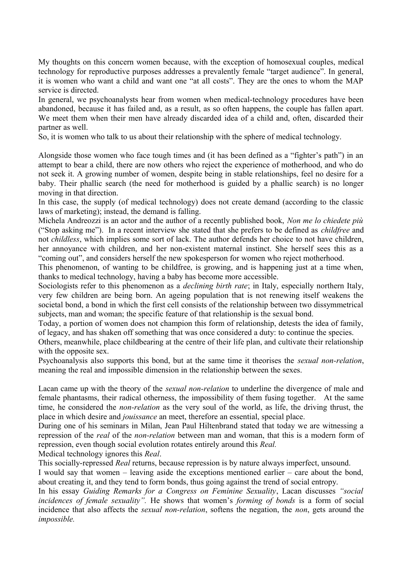My thoughts on this concern women because, with the exception of homosexual couples, medical technology for reproductive purposes addresses a prevalently female "target audience". In general, it is women who want a child and want one "at all costs". They are the ones to whom the MAP service is directed.

In general, we psychoanalysts hear from women when medical-technology procedures have been abandoned, because it has failed and, as a result, as so often happens, the couple has fallen apart. We meet them when their men have already discarded idea of a child and, often, discarded their partner as well.

So, it is women who talk to us about their relationship with the sphere of medical technology.

Alongside those women who face tough times and (it has been defined as a "fighter's path") in an attempt to bear a child, there are now others who reject the experience of motherhood, and who do not seek it. A growing number of women, despite being in stable relationships, feel no desire for a baby. Their phallic search (the need for motherhood is guided by a phallic search) is no longer moving in that direction.

In this case, the supply (of medical technology) does not create demand (according to the classic laws of marketing); instead, the demand is falling.

Michela Andreozzi is an actor and the author of a recently published book, *Non me lo chiedete più* ("Stop asking me"). In a recent interview she stated that she prefers to be defined as *childfree* and not *childless*, which implies some sort of lack. The author defends her choice to not have children, her annoyance with children, and her non-existent maternal instinct. She herself sees this as a "coming out", and considers herself the new spokesperson for women who reject motherhood.

This phenomenon, of wanting to be childfree, is growing, and is happening just at a time when, thanks to medical technology, having a baby has become more accessible.

Sociologists refer to this phenomenon as a *declining birth rate*; in Italy, especially northern Italy, very few children are being born. An ageing population that is not renewing itself weakens the societal bond, a bond in which the first cell consists of the relationship between two dissymmetrical subjects, man and woman; the specific feature of that relationship is the sexual bond.

Today, a portion of women does not champion this form of relationship, detests the idea of family, of legacy, and has shaken off something that was once considered a duty: to continue the species.

Others, meanwhile, place childbearing at the centre of their life plan, and cultivate their relationship with the opposite sex.

Psychoanalysis also supports this bond, but at the same time it theorises the *sexual non-relation*, meaning the real and impossible dimension in the relationship between the sexes.

Lacan came up with the theory of the *sexual non-relation* to underline the divergence of male and female phantasms, their radical otherness, the impossibility of them fusing together. At the same time, he considered the *non-relation* as the very soul of the world, as life, the driving thrust, the place in which desire and *jouissance* an meet, therefore an essential, special place.

During one of his seminars in Milan, Jean Paul Hiltenbrand stated that today we are witnessing a repression of the *real* of the *non-relation* between man and woman, that this is a modern form of repression, even though social evolution rotates entirely around this *Real.* 

Medical technology ignores this *Real*.

This socially-repressed *Real* returns, because repression is by nature always imperfect, unsound.

I would say that women – leaving aside the exceptions mentioned earlier – care about the bond, about creating it, and they tend to form bonds, thus going against the trend of social entropy.

In his essay *Guiding Remarks for a Congress on Feminine Sexuality*, Lacan discusses *"social incidences of female sexuality".* He shows that women's *forming of bonds* is a form of social incidence that also affects the *sexual non-relation*, softens the negation, the *non*, gets around the *impossible.*